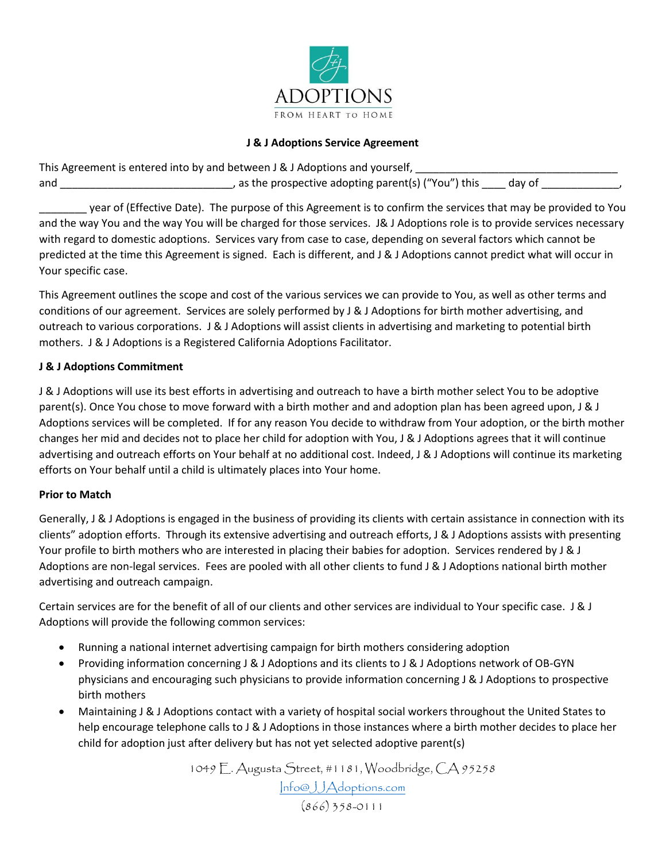

### **J & J Adoptions Service Agreement**

| This Agreement is entered into by and between J & J Adoptions and yourself, |                                                      |        |  |
|-----------------------------------------------------------------------------|------------------------------------------------------|--------|--|
| and                                                                         | , as the prospective adopting parent(s) ("You") this | dav of |  |

\_\_\_\_\_\_\_\_ year of (Effective Date). The purpose of this Agreement is to confirm the services that may be provided to You and the way You and the way You will be charged for those services. J& J Adoptions role is to provide services necessary with regard to domestic adoptions. Services vary from case to case, depending on several factors which cannot be predicted at the time this Agreement is signed. Each is different, and J & J Adoptions cannot predict what will occur in Your specific case.

This Agreement outlines the scope and cost of the various services we can provide to You, as well as other terms and conditions of our agreement. Services are solely performed by J & J Adoptions for birth mother advertising, and outreach to various corporations. J & J Adoptions will assist clients in advertising and marketing to potential birth mothers. J & J Adoptions is a Registered California Adoptions Facilitator.

### **J & J Adoptions Commitment**

J & J Adoptions will use its best efforts in advertising and outreach to have a birth mother select You to be adoptive parent(s). Once You chose to move forward with a birth mother and and adoption plan has been agreed upon, J & J Adoptions services will be completed. If for any reason You decide to withdraw from Your adoption, or the birth mother changes her mid and decides not to place her child for adoption with You, J & J Adoptions agrees that it will continue advertising and outreach efforts on Your behalf at no additional cost. Indeed, J & J Adoptions will continue its marketing efforts on Your behalf until a child is ultimately places into Your home.

#### **Prior to Match**

Generally, J & J Adoptions is engaged in the business of providing its clients with certain assistance in connection with its clients" adoption efforts. Through its extensive advertising and outreach efforts, J & J Adoptions assists with presenting Your profile to birth mothers who are interested in placing their babies for adoption. Services rendered by J & J Adoptions are non-legal services. Fees are pooled with all other clients to fund J & J Adoptions national birth mother advertising and outreach campaign.

Certain services are for the benefit of all of our clients and other services are individual to Your specific case. J & J Adoptions will provide the following common services:

- Running a national internet advertising campaign for birth mothers considering adoption
- Providing information concerning J & J Adoptions and its clients to J & J Adoptions network of OB-GYN physicians and encouraging such physicians to provide information concerning J & J Adoptions to prospective birth mothers
- Maintaining J & J Adoptions contact with a variety of hospital social workers throughout the United States to help encourage telephone calls to J & J Adoptions in those instances where a birth mother decides to place her child for adoption just after delivery but has not yet selected adoptive parent(s)

1049 E. Augusta Street, #1181, Woodbridge, CA 95258 [Info@JJAdoptions.com](mailto:Info@JJAdoptions.com) (866) 358-0111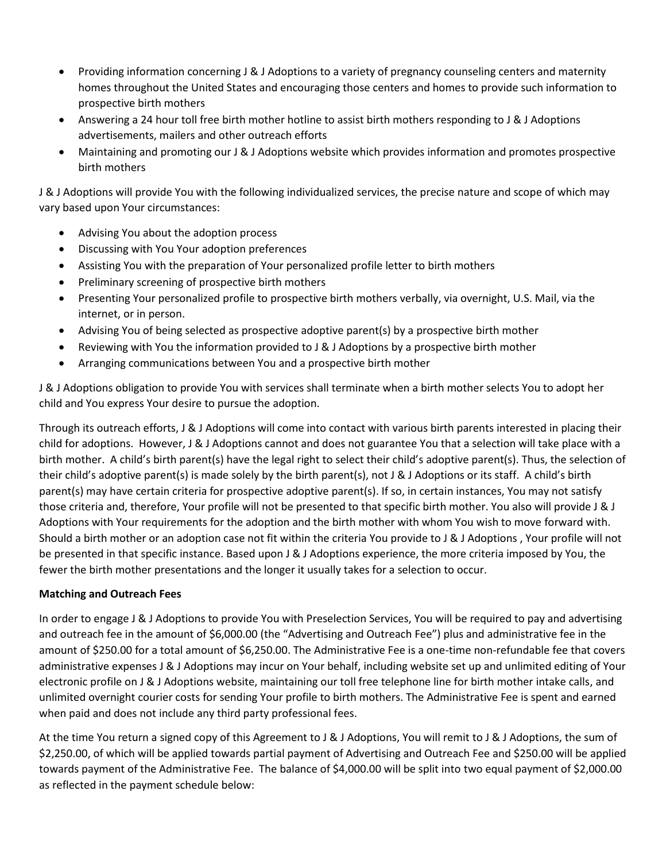- Providing information concerning J & J Adoptions to a variety of pregnancy counseling centers and maternity homes throughout the United States and encouraging those centers and homes to provide such information to prospective birth mothers
- Answering a 24 hour toll free birth mother hotline to assist birth mothers responding to J & J Adoptions advertisements, mailers and other outreach efforts
- Maintaining and promoting our J & J Adoptions website which provides information and promotes prospective birth mothers

J & J Adoptions will provide You with the following individualized services, the precise nature and scope of which may vary based upon Your circumstances:

- Advising You about the adoption process
- Discussing with You Your adoption preferences
- Assisting You with the preparation of Your personalized profile letter to birth mothers
- Preliminary screening of prospective birth mothers
- Presenting Your personalized profile to prospective birth mothers verbally, via overnight, U.S. Mail, via the internet, or in person.
- Advising You of being selected as prospective adoptive parent(s) by a prospective birth mother
- Reviewing with You the information provided to J & J Adoptions by a prospective birth mother
- Arranging communications between You and a prospective birth mother

J & J Adoptions obligation to provide You with services shall terminate when a birth mother selects You to adopt her child and You express Your desire to pursue the adoption.

Through its outreach efforts, J & J Adoptions will come into contact with various birth parents interested in placing their child for adoptions. However, J & J Adoptions cannot and does not guarantee You that a selection will take place with a birth mother. A child's birth parent(s) have the legal right to select their child's adoptive parent(s). Thus, the selection of their child's adoptive parent(s) is made solely by the birth parent(s), not J & J Adoptions or its staff. A child's birth parent(s) may have certain criteria for prospective adoptive parent(s). If so, in certain instances, You may not satisfy those criteria and, therefore, Your profile will not be presented to that specific birth mother. You also will provide J & J Adoptions with Your requirements for the adoption and the birth mother with whom You wish to move forward with. Should a birth mother or an adoption case not fit within the criteria You provide to J & J Adoptions , Your profile will not be presented in that specific instance. Based upon J & J Adoptions experience, the more criteria imposed by You, the fewer the birth mother presentations and the longer it usually takes for a selection to occur.

# **Matching and Outreach Fees**

In order to engage J & J Adoptions to provide You with Preselection Services, You will be required to pay and advertising and outreach fee in the amount of \$6,000.00 (the "Advertising and Outreach Fee") plus and administrative fee in the amount of \$250.00 for a total amount of \$6,250.00. The Administrative Fee is a one-time non-refundable fee that covers administrative expenses J & J Adoptions may incur on Your behalf, including website set up and unlimited editing of Your electronic profile on J & J Adoptions website, maintaining our toll free telephone line for birth mother intake calls, and unlimited overnight courier costs for sending Your profile to birth mothers. The Administrative Fee is spent and earned when paid and does not include any third party professional fees.

At the time You return a signed copy of this Agreement to J & J Adoptions, You will remit to J & J Adoptions, the sum of \$2,250.00, of which will be applied towards partial payment of Advertising and Outreach Fee and \$250.00 will be applied towards payment of the Administrative Fee. The balance of \$4,000.00 will be split into two equal payment of \$2,000.00 as reflected in the payment schedule below: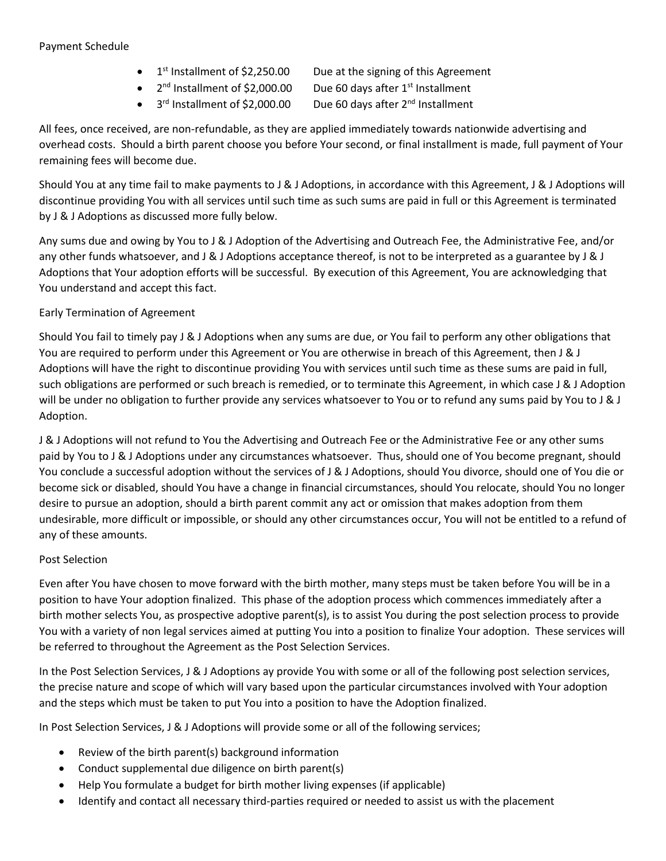### Payment Schedule

- $\bullet$  1<sup>st</sup> Installment of \$2,250.00
- Due at the signing of this Agreement  $\bullet$  2<sup>nd</sup> Installment of \$2,000.00 Due 60 days after  $1<sup>st</sup>$  Installment
- $\bullet$  3<sup>rd</sup> Installment of \$2,000.00

Due 60 days after 2<sup>nd</sup> Installment

All fees, once received, are non-refundable, as they are applied immediately towards nationwide advertising and overhead costs. Should a birth parent choose you before Your second, or final installment is made, full payment of Your remaining fees will become due.

Should You at any time fail to make payments to J & J Adoptions, in accordance with this Agreement, J & J Adoptions will discontinue providing You with all services until such time as such sums are paid in full or this Agreement is terminated by J & J Adoptions as discussed more fully below.

Any sums due and owing by You to J & J Adoption of the Advertising and Outreach Fee, the Administrative Fee, and/or any other funds whatsoever, and J & J Adoptions acceptance thereof, is not to be interpreted as a guarantee by J & J Adoptions that Your adoption efforts will be successful. By execution of this Agreement, You are acknowledging that You understand and accept this fact.

# Early Termination of Agreement

Should You fail to timely pay J & J Adoptions when any sums are due, or You fail to perform any other obligations that You are required to perform under this Agreement or You are otherwise in breach of this Agreement, then J & J Adoptions will have the right to discontinue providing You with services until such time as these sums are paid in full, such obligations are performed or such breach is remedied, or to terminate this Agreement, in which case J & J Adoption will be under no obligation to further provide any services whatsoever to You or to refund any sums paid by You to J & J Adoption.

J & J Adoptions will not refund to You the Advertising and Outreach Fee or the Administrative Fee or any other sums paid by You to J & J Adoptions under any circumstances whatsoever. Thus, should one of You become pregnant, should You conclude a successful adoption without the services of J & J Adoptions, should You divorce, should one of You die or become sick or disabled, should You have a change in financial circumstances, should You relocate, should You no longer desire to pursue an adoption, should a birth parent commit any act or omission that makes adoption from them undesirable, more difficult or impossible, or should any other circumstances occur, You will not be entitled to a refund of any of these amounts.

#### Post Selection

Even after You have chosen to move forward with the birth mother, many steps must be taken before You will be in a position to have Your adoption finalized. This phase of the adoption process which commences immediately after a birth mother selects You, as prospective adoptive parent(s), is to assist You during the post selection process to provide You with a variety of non legal services aimed at putting You into a position to finalize Your adoption. These services will be referred to throughout the Agreement as the Post Selection Services.

In the Post Selection Services, J & J Adoptions ay provide You with some or all of the following post selection services, the precise nature and scope of which will vary based upon the particular circumstances involved with Your adoption and the steps which must be taken to put You into a position to have the Adoption finalized.

In Post Selection Services, J & J Adoptions will provide some or all of the following services;

- Review of the birth parent(s) background information
- Conduct supplemental due diligence on birth parent(s)
- Help You formulate a budget for birth mother living expenses (if applicable)
- Identify and contact all necessary third-parties required or needed to assist us with the placement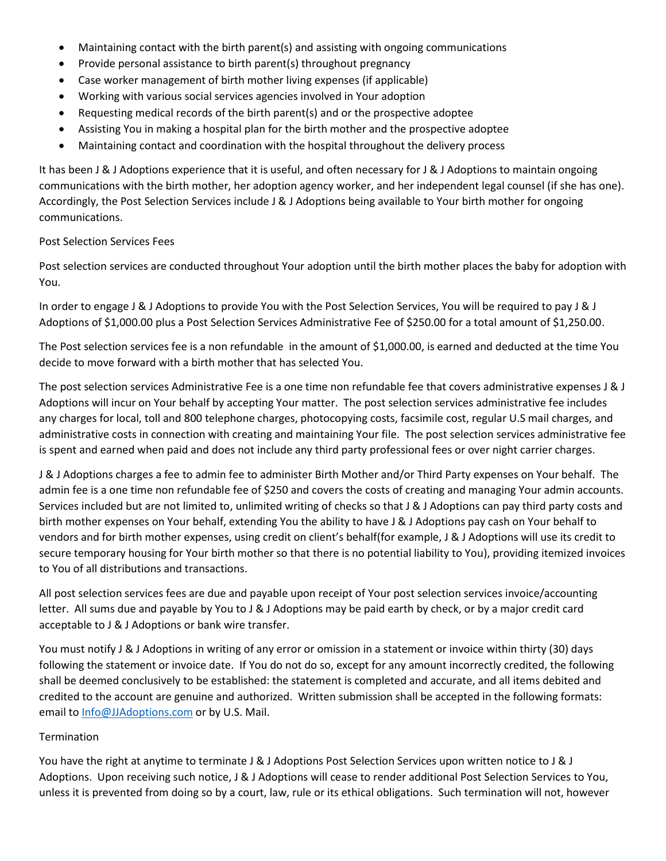- Maintaining contact with the birth parent(s) and assisting with ongoing communications
- Provide personal assistance to birth parent(s) throughout pregnancy
- Case worker management of birth mother living expenses (if applicable)
- Working with various social services agencies involved in Your adoption
- Requesting medical records of the birth parent(s) and or the prospective adoptee
- Assisting You in making a hospital plan for the birth mother and the prospective adoptee
- Maintaining contact and coordination with the hospital throughout the delivery process

It has been J & J Adoptions experience that it is useful, and often necessary for J & J Adoptions to maintain ongoing communications with the birth mother, her adoption agency worker, and her independent legal counsel (if she has one). Accordingly, the Post Selection Services include J & J Adoptions being available to Your birth mother for ongoing communications.

#### Post Selection Services Fees

Post selection services are conducted throughout Your adoption until the birth mother places the baby for adoption with You.

In order to engage J & J Adoptions to provide You with the Post Selection Services, You will be required to pay J & J Adoptions of \$1,000.00 plus a Post Selection Services Administrative Fee of \$250.00 for a total amount of \$1,250.00.

The Post selection services fee is a non refundable in the amount of \$1,000.00, is earned and deducted at the time You decide to move forward with a birth mother that has selected You.

The post selection services Administrative Fee is a one time non refundable fee that covers administrative expenses J & J Adoptions will incur on Your behalf by accepting Your matter. The post selection services administrative fee includes any charges for local, toll and 800 telephone charges, photocopying costs, facsimile cost, regular U.S mail charges, and administrative costs in connection with creating and maintaining Your file. The post selection services administrative fee is spent and earned when paid and does not include any third party professional fees or over night carrier charges.

J & J Adoptions charges a fee to admin fee to administer Birth Mother and/or Third Party expenses on Your behalf. The admin fee is a one time non refundable fee of \$250 and covers the costs of creating and managing Your admin accounts. Services included but are not limited to, unlimited writing of checks so that J & J Adoptions can pay third party costs and birth mother expenses on Your behalf, extending You the ability to have J & J Adoptions pay cash on Your behalf to vendors and for birth mother expenses, using credit on client's behalf(for example, J & J Adoptions will use its credit to secure temporary housing for Your birth mother so that there is no potential liability to You), providing itemized invoices to You of all distributions and transactions.

All post selection services fees are due and payable upon receipt of Your post selection services invoice/accounting letter. All sums due and payable by You to J & J Adoptions may be paid earth by check, or by a major credit card acceptable to J & J Adoptions or bank wire transfer.

You must notify J & J Adoptions in writing of any error or omission in a statement or invoice within thirty (30) days following the statement or invoice date. If You do not do so, except for any amount incorrectly credited, the following shall be deemed conclusively to be established: the statement is completed and accurate, and all items debited and credited to the account are genuine and authorized. Written submission shall be accepted in the following formats: email to [Info@JJAdoptions.com](mailto:Info@JJAdoptions.com) or by U.S. Mail.

#### Termination

You have the right at anytime to terminate J & J Adoptions Post Selection Services upon written notice to J & J Adoptions. Upon receiving such notice, J & J Adoptions will cease to render additional Post Selection Services to You, unless it is prevented from doing so by a court, law, rule or its ethical obligations. Such termination will not, however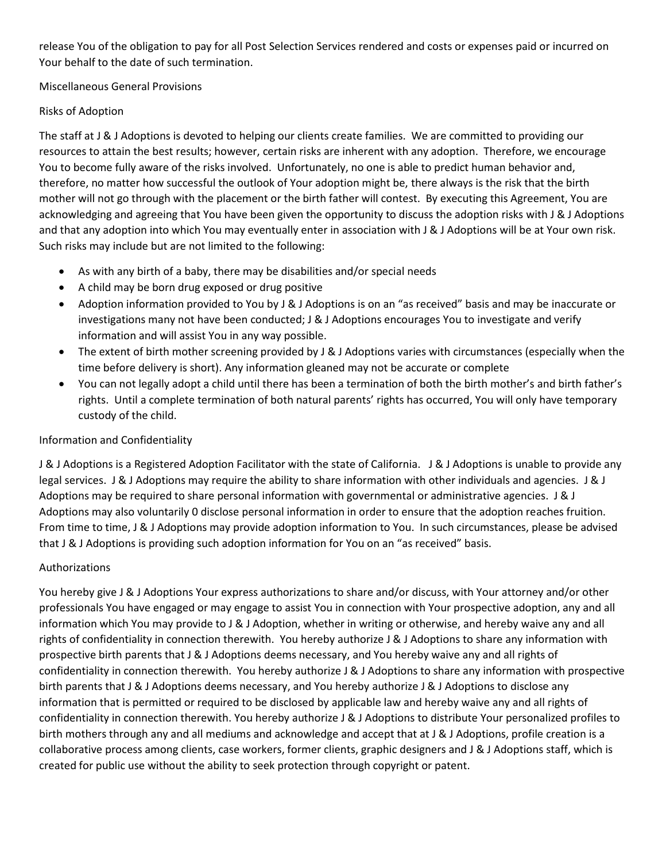release You of the obligation to pay for all Post Selection Services rendered and costs or expenses paid or incurred on Your behalf to the date of such termination.

Miscellaneous General Provisions

# Risks of Adoption

The staff at J & J Adoptions is devoted to helping our clients create families. We are committed to providing our resources to attain the best results; however, certain risks are inherent with any adoption. Therefore, we encourage You to become fully aware of the risks involved. Unfortunately, no one is able to predict human behavior and, therefore, no matter how successful the outlook of Your adoption might be, there always is the risk that the birth mother will not go through with the placement or the birth father will contest. By executing this Agreement, You are acknowledging and agreeing that You have been given the opportunity to discuss the adoption risks with J & J Adoptions and that any adoption into which You may eventually enter in association with J & J Adoptions will be at Your own risk. Such risks may include but are not limited to the following:

- As with any birth of a baby, there may be disabilities and/or special needs
- A child may be born drug exposed or drug positive
- Adoption information provided to You by J & J Adoptions is on an "as received" basis and may be inaccurate or investigations many not have been conducted; J & J Adoptions encourages You to investigate and verify information and will assist You in any way possible.
- The extent of birth mother screening provided by J & J Adoptions varies with circumstances (especially when the time before delivery is short). Any information gleaned may not be accurate or complete
- You can not legally adopt a child until there has been a termination of both the birth mother's and birth father's rights. Until a complete termination of both natural parents' rights has occurred, You will only have temporary custody of the child.

# Information and Confidentiality

J & J Adoptions is a Registered Adoption Facilitator with the state of California. J & J Adoptions is unable to provide any legal services. J & J Adoptions may require the ability to share information with other individuals and agencies. J & J Adoptions may be required to share personal information with governmental or administrative agencies. J & J Adoptions may also voluntarily 0 disclose personal information in order to ensure that the adoption reaches fruition. From time to time, J & J Adoptions may provide adoption information to You. In such circumstances, please be advised that J & J Adoptions is providing such adoption information for You on an "as received" basis.

# Authorizations

You hereby give J & J Adoptions Your express authorizations to share and/or discuss, with Your attorney and/or other professionals You have engaged or may engage to assist You in connection with Your prospective adoption, any and all information which You may provide to J & J Adoption, whether in writing or otherwise, and hereby waive any and all rights of confidentiality in connection therewith. You hereby authorize J & J Adoptions to share any information with prospective birth parents that J & J Adoptions deems necessary, and You hereby waive any and all rights of confidentiality in connection therewith. You hereby authorize J & J Adoptions to share any information with prospective birth parents that J & J Adoptions deems necessary, and You hereby authorize J & J Adoptions to disclose any information that is permitted or required to be disclosed by applicable law and hereby waive any and all rights of confidentiality in connection therewith. You hereby authorize J & J Adoptions to distribute Your personalized profiles to birth mothers through any and all mediums and acknowledge and accept that at J & J Adoptions, profile creation is a collaborative process among clients, case workers, former clients, graphic designers and J & J Adoptions staff, which is created for public use without the ability to seek protection through copyright or patent.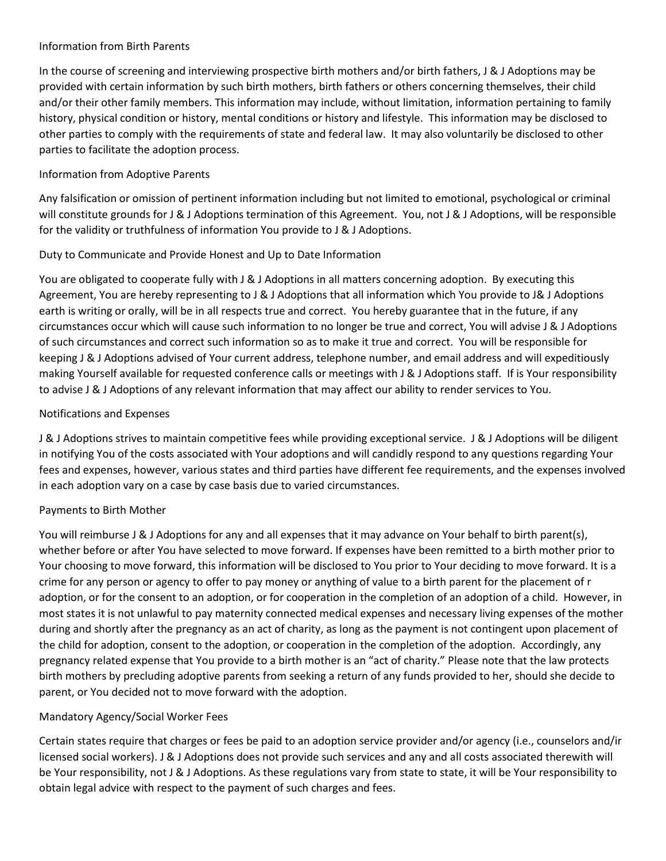### Information from Birth Parents

In the course of screening and interviewing prospective birth mothers and/or birth fathers, J & J Adoptions may be provided with certain information by such birth mothers, birth fathers or others concerning themselves, their child and/or their other family members. This information may include, without limitation, information pertaining to family history, physical condition or history, mental conditions or history and lifestyle. This information may be disclosed to other parties to comply with the requirements of state and federal law. It may also voluntarily be disclosed to other parties to facilitate the adoption process.

# Information from Adoptive Parents

Any falsification or omission of pertinent information including but not limited to emotional, psychological or criminal will constitute grounds for J & J Adoptions termination of this Agreement. You, not J & J Adoptions, will be responsible for the validity or truthfulness of information You provide to J & J Adoptions.

### Duty to Communicate and Provide Honest and Up to Date Information

You are obligated to cooperate fully with J & J Adoptions in all matters concerning adoption. By executing this Agreement, You are hereby representing to J & J Adoptions that all information which You provide to J& J Adoptions earth is writing or orally, will be in all respects true and correct. You hereby guarantee that in the future, if any circumstances occur which will cause such information to no longer be true and correct, You will advise J & J Adoptions of such circumstances and correct such information so as to make it true and correct. You will be responsible for keeping J & J Adoptions advised of Your current address, telephone number, and email address and will expeditiously making Yourself available for requested conference calls or meetings with J & J Adoptions staff. If is Your responsibility to advise J & J Adoptions of any relevant information that may affect our ability to render services to You.

### Notifications and Expenses

J & J Adoptions strives to maintain competitive fees while providing exceptional service. J & J Adoptions will be diligent in notifying You of the costs associated with Your adoptions and will candidly respond to any questions regarding Your fees and expenses, however, various states and third parties have different fee requirements, and the expenses involved in each adoption vary on a case by case basis due to varied circumstances.

#### Payments to Birth Mother

You will reimburse J & J Adoptions for any and all expenses that it may advance on Your behalf to birth parent(s), whether before or after You have selected to move forward. If expenses have been remitted to a birth mother prior to Your choosing to move forward, this information will be disclosed to You prior to Your deciding to move forward. It is a crime for any person or agency to offer to pay money or anything of value to a birth parent for the placement of r adoption, or for the consent to an adoption, or for cooperation in the completion of an adoption of a child. However, in most states it is not unlawful to pay maternity connected medical expenses and necessary living expenses of the mother during and shortly after the pregnancy as an act of charity, as long as the payment is not contingent upon placement of the child for adoption, consent to the adoption, or cooperation in the completion of the adoption. Accordingly, any pregnancy related expense that You provide to a birth mother is an "act of charity." Please note that the law protects birth mothers by precluding adoptive parents from seeking a return of any funds provided to her, should she decide to parent, or You decided not to move forward with the adoption.

# Mandatory Agency/Social Worker Fees

Certain states require that charges or fees be paid to an adoption service provider and/or agency (i.e., counselors and/ir licensed social workers). J & J Adoptions does not provide such services and any and all costs associated therewith will be Your responsibility, not J & J Adoptions. As these regulations vary from state to state, it will be Your responsibility to obtain legal advice with respect to the payment of such charges and fees.